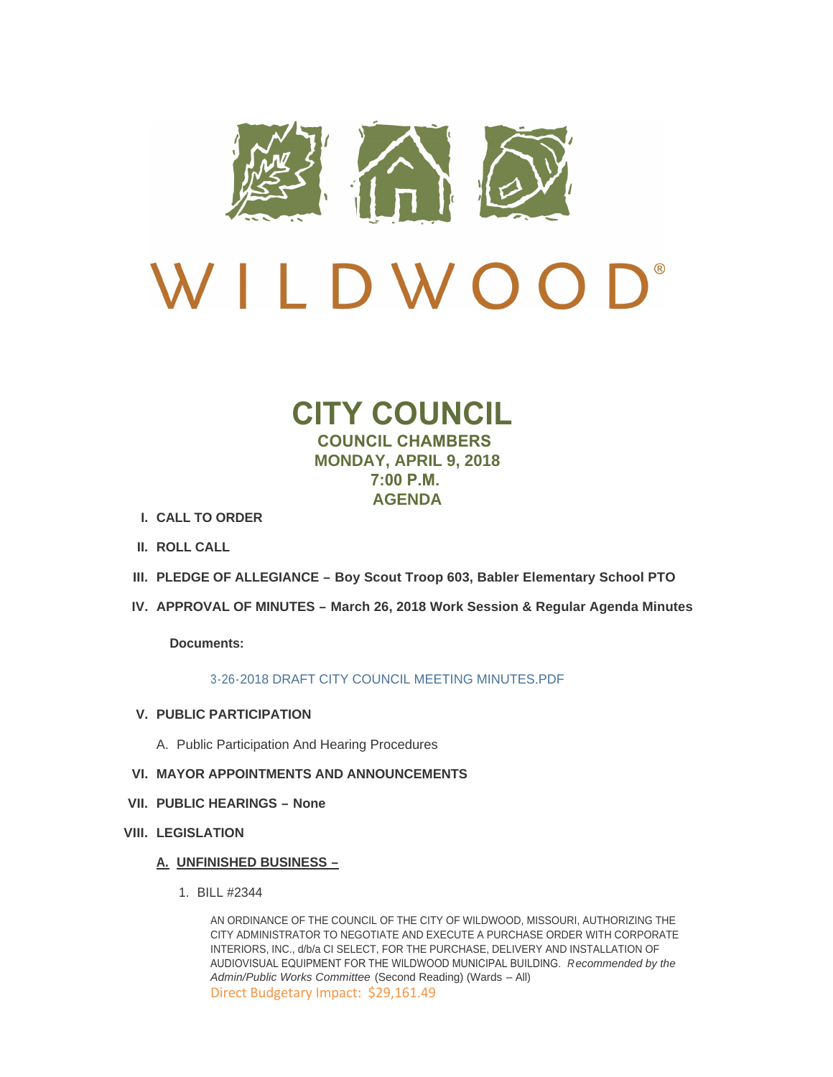

# $\mathbf{D}^*$ LDWOO

# **CITY COUNCIL COUNCIL CHAMBERS MONDAY, APRIL 9, 2018 7:00 P.M. AGENDA**

- **CALL TO ORDER I.**
- **ROLL CALL II.**
- **PLEDGE OF ALLEGIANCE – Boy Scout Troop 603, Babler Elementary School PTO III.**
- **APPROVAL OF MINUTES – March 26, 2018 Work Session & Regular Agenda Minutes IV.**

**Documents:**

[3-26-2018 DRAFT CITY COUNCIL MEETING MINUTES.PDF](http://www.cityofwildwood.com/AgendaCenter/ViewFile/Item/14889?fileID=20455)

- **PUBLIC PARTICIPATION V.**
	- A. Public Participation And Hearing Procedures
- **MAYOR APPOINTMENTS AND ANNOUNCEMENTS VI.**
- **PUBLIC HEARINGS – None VII.**
- **LEGISLATION VIII.**

## **UNFINISHED BUSINESS – A.**

BILL #2344 1.

AN ORDINANCE OF THE COUNCIL OF THE CITY OF WILDWOOD, MISSOURI, AUTHORIZING THE CITY ADMINISTRATOR TO NEGOTIATE AND EXECUTE A PURCHASE ORDER WITH CORPORATE INTERIORS, INC., d/b/a CI SELECT, FOR THE PURCHASE, DELIVERY AND INSTALLATION OF AUDIOVISUAL EQUIPMENT FOR THE WILDWOOD MUNICIPAL BUILDING. *Recommended by the Admin/Public Works Committee* (Second Reading) (Wards – All) Direct Budgetary Impact: \$29,161.49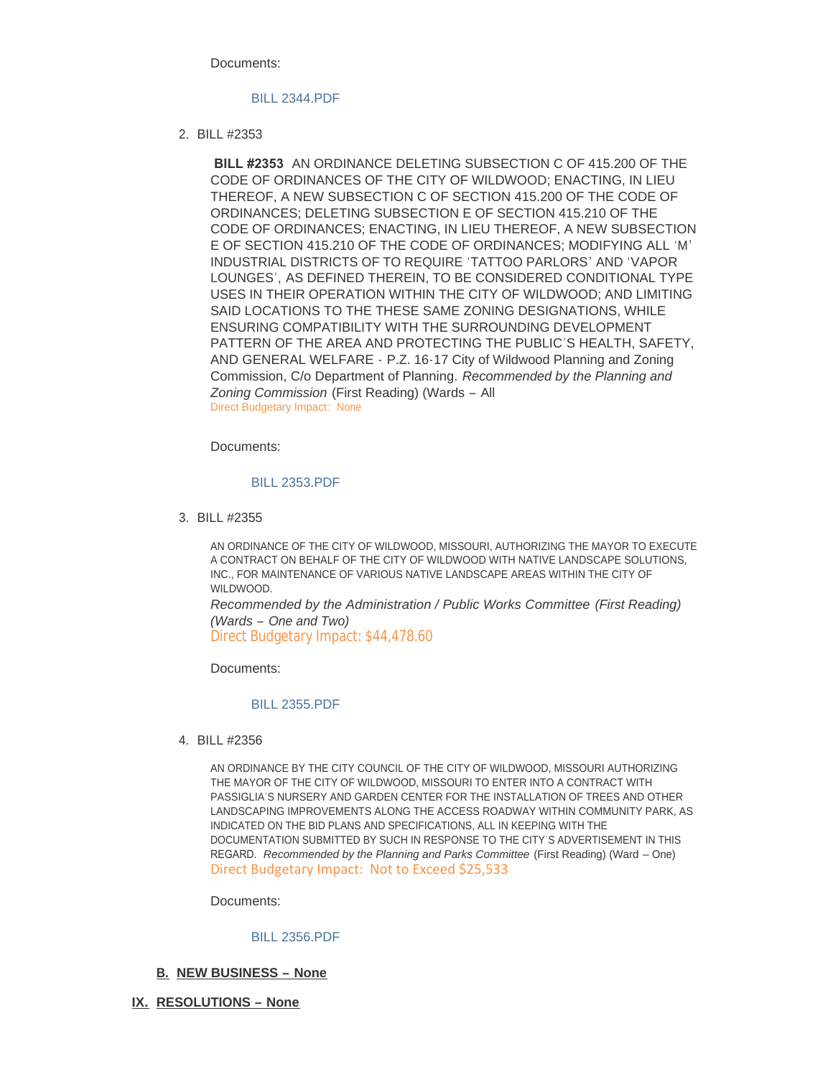Documents:

### [BILL 2344.PDF](http://www.cityofwildwood.com/AgendaCenter/ViewFile/Item/14896?fileID=20456)

BILL #2353 2.

 **BILL #2353** AN ORDINANCE DELETING SUBSECTION C OF 415.200 OF THE CODE OF ORDINANCES OF THE CITY OF WILDWOOD; ENACTING, IN LIEU THEREOF, A NEW SUBSECTION C OF SECTION 415.200 OF THE CODE OF ORDINANCES; DELETING SUBSECTION E OF SECTION 415.210 OF THE CODE OF ORDINANCES; ENACTING, IN LIEU THEREOF, A NEW SUBSECTION E OF SECTION 415.210 OF THE CODE OF ORDINANCES; MODIFYING ALL 'M' INDUSTRIAL DISTRICTS OF TO REQUIRE 'TATTOO PARLORS' AND 'VAPOR LOUNGES', AS DEFINED THEREIN, TO BE CONSIDERED CONDITIONAL TYPE USES IN THEIR OPERATION WITHIN THE CITY OF WILDWOOD; AND LIMITING SAID LOCATIONS TO THE THESE SAME ZONING DESIGNATIONS, WHILE ENSURING COMPATIBILITY WITH THE SURROUNDING DEVELOPMENT PATTERN OF THE AREA AND PROTECTING THE PUBLIC'S HEALTH, SAFETY, AND GENERAL WELFARE - P.Z. 16-17 City of Wildwood Planning and Zoning Commission, C/o Department of Planning. *Recommended by the Planning and Zoning Commission* (First Reading) (Wards – All Direct Budgetary Impact: None

Documents:

#### [BILL 2353.PDF](http://www.cityofwildwood.com/AgendaCenter/ViewFile/Item/14929?fileID=20470)

BILL #2355 3.

AN ORDINANCE OF THE CITY OF WILDWOOD, MISSOURI, AUTHORIZING THE MAYOR TO EXECUTE A CONTRACT ON BEHALF OF THE CITY OF WILDWOOD WITH NATIVE LANDSCAPE SOLUTIONS, INC., FOR MAINTENANCE OF VARIOUS NATIVE LANDSCAPE AREAS WITHIN THE CITY OF WILDWOOD.

*Recommended by the Administration / Public Works Committee (First Reading) (Wards – One and Two)*

Direct Budgetary Impact: \$44,478.60

Documents:

#### [BILL 2355.PDF](http://www.cityofwildwood.com/AgendaCenter/ViewFile/Item/14898?fileID=20457)

BILL #2356 4.

AN ORDINANCE BY THE CITY COUNCIL OF THE CITY OF WILDWOOD, MISSOURI AUTHORIZING THE MAYOR OF THE CITY OF WILDWOOD, MISSOURI TO ENTER INTO A CONTRACT WITH PASSIGLIA'S NURSERY AND GARDEN CENTER FOR THE INSTALLATION OF TREES AND OTHER LANDSCAPING IMPROVEMENTS ALONG THE ACCESS ROADWAY WITHIN COMMUNITY PARK, AS INDICATED ON THE BID PLANS AND SPECIFICATIONS, ALL IN KEEPING WITH THE DOCUMENTATION SUBMITTED BY SUCH IN RESPONSE TO THE CITY'S ADVERTISEMENT IN THIS REGARD. *Recommended by the Planning and Parks Committee* (First Reading) (Ward – One) Direct Budgetary Impact: Not to Exceed \$25,533

Documents:

#### [BILL 2356.PDF](http://www.cityofwildwood.com/AgendaCenter/ViewFile/Item/14899?fileID=20458)

- **NEW BUSINESS – None B.**
- **RESOLUTIONS – None IX.**